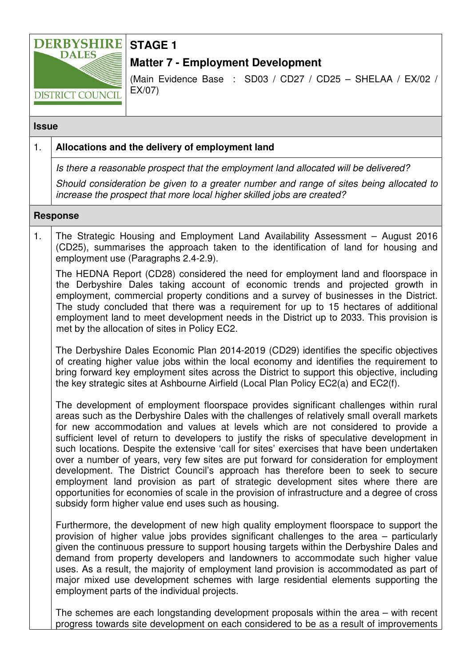

# **STAGE 1**

## **Matter 7 - Employment Development**

(Main Evidence Base : SD03 / CD27 / CD25 – SHELAA / EX/02 / EX/07)

#### **Issue**

### 1. **Allocations and the delivery of employment land**

Is there a reasonable prospect that the employment land allocated will be delivered?

Should consideration be given to a greater number and range of sites being allocated to increase the prospect that more local higher skilled jobs are created?

#### **Response**

1. The Strategic Housing and Employment Land Availability Assessment – August 2016 (CD25), summarises the approach taken to the identification of land for housing and employment use (Paragraphs 2.4-2.9).

The HEDNA Report (CD28) considered the need for employment land and floorspace in the Derbyshire Dales taking account of economic trends and projected growth in employment, commercial property conditions and a survey of businesses in the District. The study concluded that there was a requirement for up to 15 hectares of additional employment land to meet development needs in the District up to 2033. This provision is met by the allocation of sites in Policy EC2.

The Derbyshire Dales Economic Plan 2014-2019 (CD29) identifies the specific objectives of creating higher value jobs within the local economy and identifies the requirement to bring forward key employment sites across the District to support this objective, including the key strategic sites at Ashbourne Airfield (Local Plan Policy EC2(a) and EC2(f).

The development of employment floorspace provides significant challenges within rural areas such as the Derbyshire Dales with the challenges of relatively small overall markets for new accommodation and values at levels which are not considered to provide a sufficient level of return to developers to justify the risks of speculative development in such locations. Despite the extensive 'call for sites' exercises that have been undertaken over a number of years, very few sites are put forward for consideration for employment development. The District Council's approach has therefore been to seek to secure employment land provision as part of strategic development sites where there are opportunities for economies of scale in the provision of infrastructure and a degree of cross subsidy form higher value end uses such as housing.

Furthermore, the development of new high quality employment floorspace to support the provision of higher value jobs provides significant challenges to the area – particularly given the continuous pressure to support housing targets within the Derbyshire Dales and demand from property developers and landowners to accommodate such higher value uses. As a result, the majority of employment land provision is accommodated as part of major mixed use development schemes with large residential elements supporting the employment parts of the individual projects.

The schemes are each longstanding development proposals within the area – with recent progress towards site development on each considered to be as a result of improvements